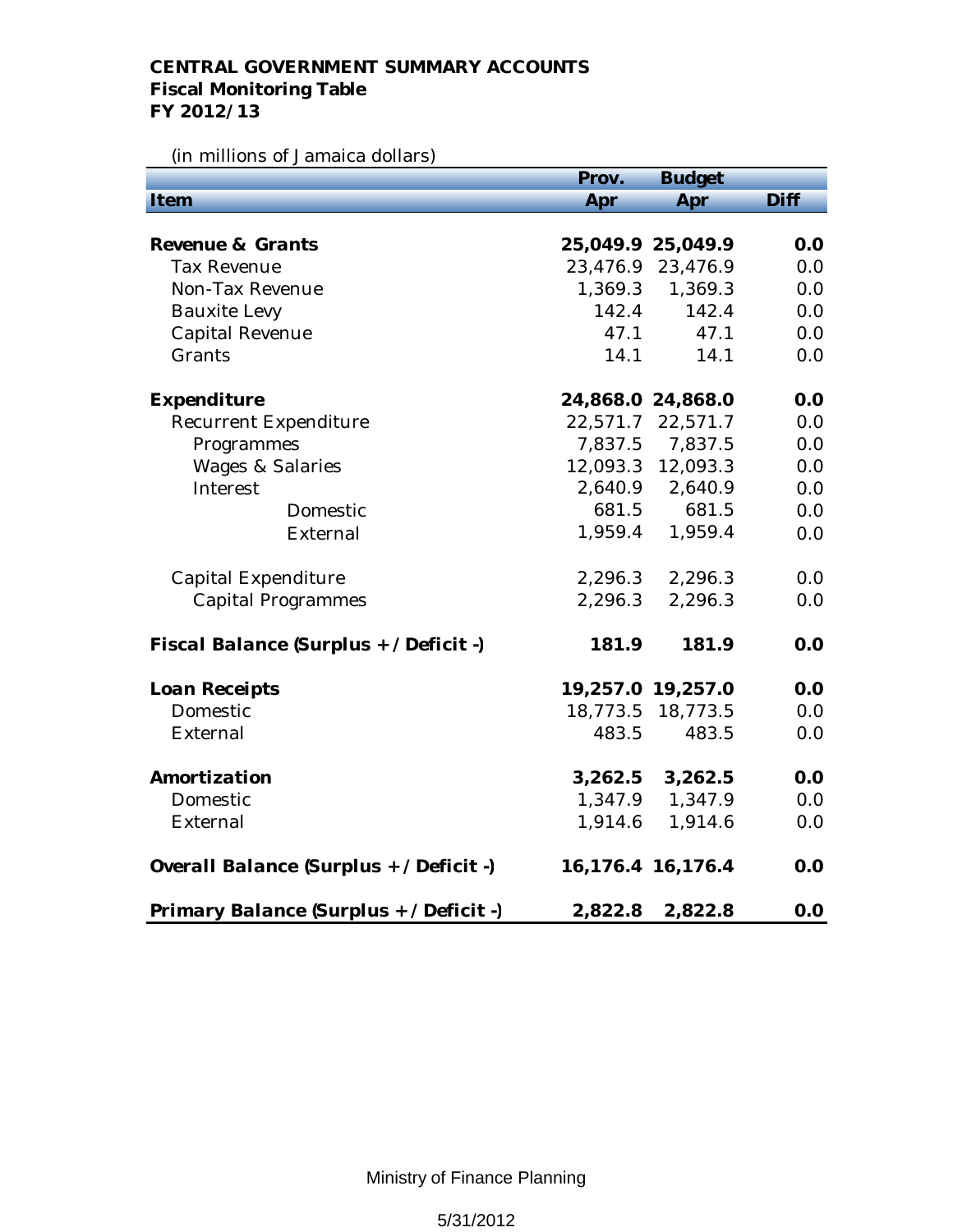## **CENTRAL GOVERNMENT SUMMARY ACCOUNTS Fiscal Monitoring Table FY 2012/13**

## (in millions of Jamaica dollars)

|                                         | Prov.    | <b>Budget</b>         |      |
|-----------------------------------------|----------|-----------------------|------|
| Item                                    | Apr      | Apr                   | Diff |
|                                         |          |                       |      |
| Revenue & Grants                        |          | 25,049.9 25,049.9     | 0.0  |
| <b>Tax Revenue</b>                      |          | 23,476.9 23,476.9     | 0.0  |
| Non-Tax Revenue                         | 1,369.3  | 1,369.3               | 0.0  |
| <b>Bauxite Levy</b>                     | 142.4    | 142.4                 | 0.0  |
| <b>Capital Revenue</b>                  | 47.1     | 47.1                  | 0.0  |
| Grants                                  | 14.1     | 14.1                  | 0.0  |
| Expenditure                             |          | 24,868.0 24,868.0     | 0.0  |
| <b>Recurrent Expenditure</b>            | 22,571.7 | 22,571.7              | 0.0  |
| Programmes                              | 7,837.5  | 7,837.5               | 0.0  |
| <b>Wages &amp; Salaries</b>             |          | 12,093.3 12,093.3     | 0.0  |
| Interest                                |          | 2,640.9 2,640.9       | 0.0  |
| Domestic                                | 681.5    | 681.5                 | 0.0  |
| External                                | 1,959.4  | 1,959.4               | 0.0  |
| Capital Expenditure                     | 2,296.3  | 2,296.3               | 0.0  |
| <b>Capital Programmes</b>               | 2,296.3  | 2,296.3               | 0.0  |
| Fiscal Balance (Surplus + / Deficit -)  | 181.9    | 181.9                 | 0.0  |
| Loan Receipts                           |          | 19,257.0 19,257.0     | 0.0  |
| Domestic                                | 18,773.5 | 18,773.5              | 0.0  |
| External                                | 483.5    | 483.5                 | 0.0  |
| Amortization                            | 3,262.5  | 3,262.5               | 0.0  |
| Domestic                                | 1,347.9  | 1,347.9               | 0.0  |
| External                                | 1,914.6  | 1,914.6               | 0.0  |
| Overall Balance (Surplus + / Deficit -) |          | 16, 176. 4 16, 176. 4 | 0.0  |
| Primary Balance (Surplus + / Deficit -) | 2,822.8  | 2,822.8               | 0.0  |

Ministry of Finance Planning